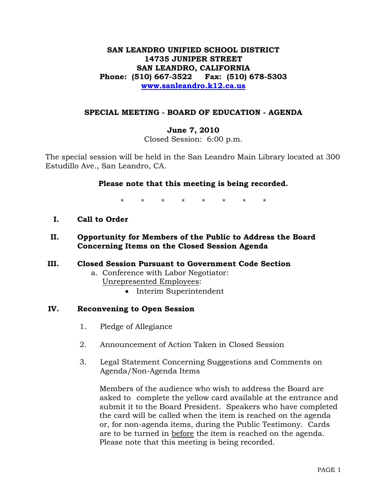# **SAN LEANDRO UNIFIED SCHOOL DISTRICT 14735 JUNIPER STREET SAN LEANDRO, CALIFORNIA Phone: (510) 667-3522 Fax: (510) 678-5303 [www.sanleandro.k12.ca.us](http://www.sanleandro.k12.ca.us/)**

### **SPECIAL MEETING - BOARD OF EDUCATION - AGENDA**

## **June 7, 2010**

Closed Session: 6:00 p.m.

The special session will be held in the San Leandro Main Library located at 300 Estudillo Ave., San Leandro, CA.

## **Please note that this meeting is being recorded.**

\* \* \* \* \* \* \* \*

- **I. Call to Order**
- **II. Opportunity for Members of the Public to Address the Board Concerning Items on the Closed Session Agenda**
- **III. Closed Session Pursuant to Government Code Section** 
	- a. Conference with Labor Negotiator: Unrepresented Employees:
		- Interim Superintendent

#### **IV. Reconvening to Open Session**

- 1. Pledge of Allegiance
- 2. Announcement of Action Taken in Closed Session
- 3. Legal Statement Concerning Suggestions and Comments on Agenda/Non-Agenda Items

 Members of the audience who wish to address the Board are asked to complete the yellow card available at the entrance and submit it to the Board President. Speakers who have completed the card will be called when the item is reached on the agenda or, for non-agenda items, during the Public Testimony. Cards are to be turned in before the item is reached on the agenda. Please note that this meeting is being recorded.